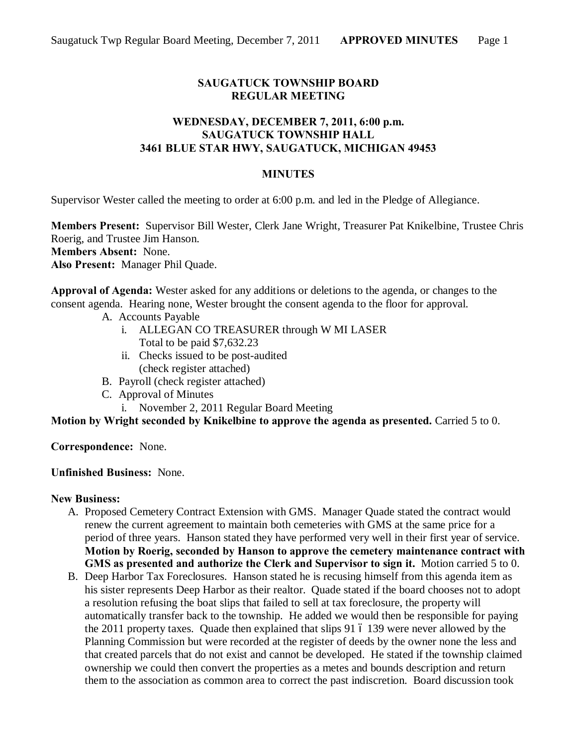## **SAUGATUCK TOWNSHIP BOARD REGULAR MEETING**

### **WEDNESDAY, DECEMBER 7, 2011, 6:00 p.m. SAUGATUCK TOWNSHIP HALL 3461 BLUE STAR HWY, SAUGATUCK, MICHIGAN 49453**

#### **MINUTES**

Supervisor Wester called the meeting to order at 6:00 p.m. and led in the Pledge of Allegiance.

**Members Present:** Supervisor Bill Wester, Clerk Jane Wright, Treasurer Pat Knikelbine, Trustee Chris Roerig, and Trustee Jim Hanson.

**Members Absent:** None.

**Also Present:** Manager Phil Quade.

**Approval of Agenda:** Wester asked for any additions or deletions to the agenda, or changes to the consent agenda. Hearing none, Wester brought the consent agenda to the floor for approval.

- A. Accounts Payable
	- i. ALLEGAN CO TREASURER through W MI LASER Total to be paid \$7,632.23
	- ii. Checks issued to be post-audited (check register attached)
- B. Payroll (check register attached)
- C. Approval of Minutes
	- i. November 2, 2011 Regular Board Meeting

**Motion by Wright seconded by Knikelbine to approve the agenda as presented.** Carried 5 to 0.

**Correspondence:** None.

#### **Unfinished Business:** None.

#### **New Business:**

- A. Proposed Cemetery Contract Extension with GMS. Manager Quade stated the contract would renew the current agreement to maintain both cemeteries with GMS at the same price for a period of three years. Hanson stated they have performed very well in their first year of service. **Motion by Roerig, seconded by Hanson to approve the cemetery maintenance contract with GMS as presented and authorize the Clerk and Supervisor to sign it.** Motion carried 5 to 0.
- B. Deep Harbor Tax Foreclosures. Hanson stated he is recusing himself from this agenda item as his sister represents Deep Harbor as their realtor. Quade stated if the board chooses not to adopt a resolution refusing the boat slips that failed to sell at tax foreclosure, the property will automatically transfer back to the township. He added we would then be responsible for paying the  $2011$  property taxes. Quade then explained that slips 91  $\acute{o}$  139 were never allowed by the Planning Commission but were recorded at the register of deeds by the owner none the less and that created parcels that do not exist and cannot be developed. He stated if the township claimed ownership we could then convert the properties as a metes and bounds description and return them to the association as common area to correct the past indiscretion. Board discussion took